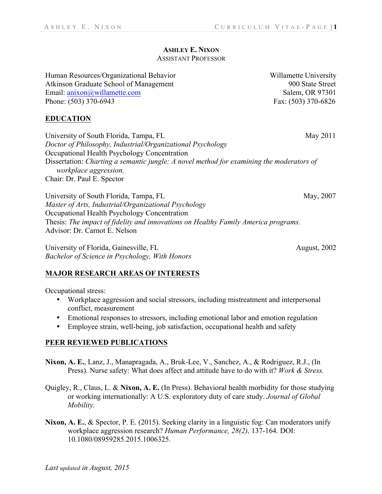## **ASHLEY E. NIXON**

## ASSISTANT PROFESSOR

Human Resources/Organizational Behavior Willamette University Atkinson Graduate School of Management 900 State Street Email: anixon@willamette.com Salem, OR 97301 Phone: (503) 370-6943 Fax: (503) 370-6826

**EDUCATION**

University of South Florida, Tampa, FL May 2011 *Doctor of Philosophy, Industrial/Organizational Psychology* Occupational Health Psychology Concentration Dissertation: *Charting a semantic jungle: A novel method for examining the moderators of workplace aggression.* Chair: Dr. Paul E. Spector

University of South Florida, Tampa, FL May, 2007 *Master of Arts, Industrial/Organizational Psychology* Occupational Health Psychology Concentration Thesis: *The impact of fidelity and innovations on Healthy Family America programs.* Advisor: Dr. Carnot E. Nelson

University of Florida, Gainesville, FL August, 2002 *Bachelor of Science in Psychology, With Honors* 

### **MAJOR RESEARCH AREAS OF INTERESTS**

Occupational stress:

- Workplace aggression and social stressors, including mistreatment and interpersonal conflict, measurement
- Emotional responses to stressors, including emotional labor and emotion regulation
- Employee strain, well-being, job satisfaction, occupational health and safety

### **PEER REVIEWED PUBLICATIONS**

- **Nixon, A. E.**, Lanz, J., Manapragada, A., Bruk-Lee, V., Sanchez, A., & Rodriguez, R.J., (In Press). Nurse safety: What does affect and attitude have to do with it? *Work & Stress.*
- Quigley, R., Claus, L. & **Nixon, A. E.** (In Press). Behavioral health morbidity for those studying or working internationally: A U.S. exploratory duty of care study. *Journal of Global Mobility.*
- **Nixon, A. E.**, & Spector, P. E. (2015). Seeking clarity in a linguistic fog: Can moderators unify workplace aggression research? *Human Performance, 28(2),* 137-164*.* DOI: 10.1080/08959285.2015.1006325.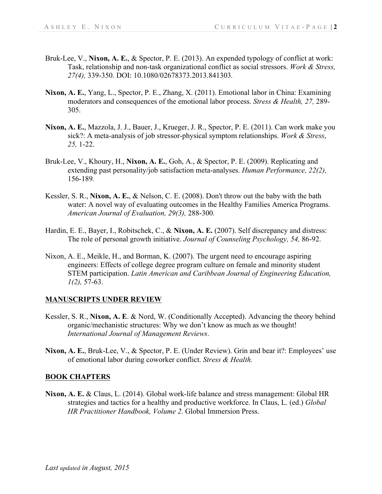- Bruk-Lee, V., **Nixon, A. E.**, & Spector, P. E. (2013). An expended typology of conflict at work: Task, relationship and non-task organizational conflict as social stressors. *Work & Stress, 27(4),* 339-350. DOI: 10.1080/02678373.2013.841303*.*
- **Nixon, A. E.**, Yang, L., Spector, P. E., Zhang, X. (2011). Emotional labor in China: Examining moderators and consequences of the emotional labor process. *Stress & Health, 27,* 289- 305.
- **Nixon, A. E.**, Mazzola, J. J., Bauer, J., Krueger, J. R., Spector, P. E. (2011). Can work make you sick?: A meta-analysis of job stressor-physical symptom relationships. *Work & Stress*, *25,* 1-22.
- Bruk-Lee, V., Khoury, H., **Nixon, A. E.**, Goh, A., & Spector, P. E. (2009). Replicating and extending past personality/job satisfaction meta-analyses. *Human Performance, 22(2),*  156-189*.*
- Kessler, S. R., **Nixon, A. E.**, & Nelson, C. E. (2008). Don't throw out the baby with the bath water: A novel way of evaluating outcomes in the Healthy Families America Programs. *American Journal of Evaluation, 29(3),* 288-300*.*
- Hardin, E. E., Bayer, I., Robitschek, C., & **Nixon, A. E.** (2007). Self discrepancy and distress: The role of personal growth initiative. *Journal of Counseling Psychology, 54,* 86-92.
- Nixon, A. E., Meikle, H., and Borman, K. (2007). The urgent need to encourage aspiring engineers: Effects of college degree program culture on female and minority student STEM participation. *Latin American and Caribbean Journal of Engineering Education, 1(2),* 57-63.

### **MANUSCRIPTS UNDER REVIEW**

- Kessler, S. R., **Nixon, A. E**. & Nord, W. (Conditionally Accepted). Advancing the theory behind organic/mechanistic structures: Why we don't know as much as we thought! *International Journal of Management Reviews*.
- **Nixon, A. E.**, Bruk-Lee, V., & Spector, P. E. (Under Review). Grin and bear it?: Employees' use of emotional labor during coworker conflict. *Stress & Health.*

### **BOOK CHAPTERS**

**Nixon, A. E.** & Claus, L. (2014). Global work-life balance and stress management: Global HR strategies and tactics for a healthy and productive workforce. In Claus, L. (ed.) *Global HR Practitioner Handbook, Volume 2*. Global Immersion Press.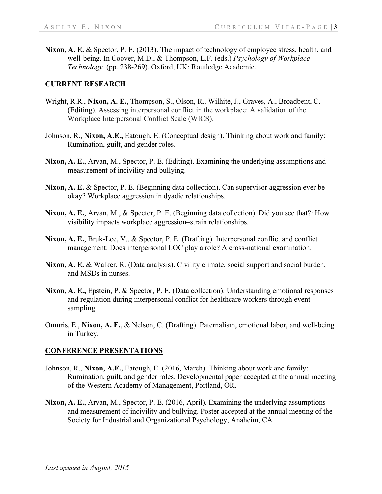**Nixon, A. E.** & Spector, P. E. (2013). The impact of technology of employee stress, health, and well-being. In Coover, M.D., & Thompson, L.F. (eds.) *Psychology of Workplace Technology,* (pp. 238-269). Oxford, UK: Routledge Academic.

### **CURRENT RESEARCH**

- Wright, R.R., **Nixon, A. E.**, Thompson, S., Olson, R., Wilhite, J., Graves, A., Broadbent, C. (Editing). Assessing interpersonal conflict in the workplace: A validation of the Workplace Interpersonal Conflict Scale (WICS).
- Johnson, R., **Nixon, A.E.,** Eatough, E. (Conceptual design). Thinking about work and family: Rumination, guilt, and gender roles.
- **Nixon, A. E.**, Arvan, M., Spector, P. E. (Editing). Examining the underlying assumptions and measurement of incivility and bullying.
- **Nixon, A. E.** & Spector, P. E. (Beginning data collection). Can supervisor aggression ever be okay? Workplace aggression in dyadic relationships.
- **Nixon, A. E.**, Arvan, M., & Spector, P. E. (Beginning data collection). Did you see that?: How visibility impacts workplace aggression–strain relationships.
- **Nixon, A. E.**, Bruk-Lee, V., & Spector, P. E. (Drafting). Interpersonal conflict and conflict management: Does interpersonal LOC play a role? A cross-national examination.
- **Nixon, A. E.** & Walker, R. (Data analysis). Civility climate, social support and social burden, and MSDs in nurses.
- **Nixon, A. E.,** Epstein, P. & Spector, P. E. (Data collection). Understanding emotional responses and regulation during interpersonal conflict for healthcare workers through event sampling.
- Omuris, E., **Nixon, A. E.**, & Nelson, C. (Drafting). Paternalism, emotional labor, and well-being in Turkey.

### **CONFERENCE PRESENTATIONS**

- Johnson, R., **Nixon, A.E.,** Eatough, E. (2016, March). Thinking about work and family: Rumination, guilt, and gender roles. Developmental paper accepted at the annual meeting of the Western Academy of Management, Portland, OR.
- **Nixon, A. E.**, Arvan, M., Spector, P. E. (2016, April). Examining the underlying assumptions and measurement of incivility and bullying. Poster accepted at the annual meeting of the Society for Industrial and Organizational Psychology, Anaheim, CA*.*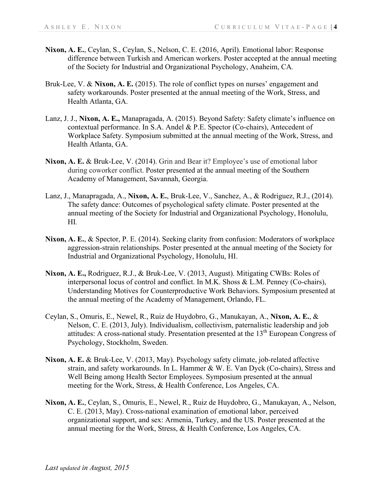- **Nixon, A. E.**, Ceylan, S., Ceylan, S., Nelson, C. E. (2016, April). Emotional labor: Response difference between Turkish and American workers. Poster accepted at the annual meeting of the Society for Industrial and Organizational Psychology, Anaheim, CA*.*
- Bruk-Lee, V. & Nixon, A. E. (2015). The role of conflict types on nurses' engagement and safety workarounds. Poster presented at the annual meeting of the Work, Stress, and Health Atlanta, GA.
- Lanz, J. J., **Nixon, A. E.,** Manapragada, A. (2015). Beyond Safety: Safety climate's influence on contextual performance. In S.A. Andel & P.E. Spector (Co-chairs), Antecedent of Workplace Safety. Symposium submitted at the annual meeting of the Work, Stress, and Health Atlanta, GA.
- **Nixon, A. E.** & Bruk-Lee, V. (2014). Grin and Bear it? Employee's use of emotional labor during coworker conflict. Poster presented at the annual meeting of the Southern Academy of Management, Savannah, Georgia.
- Lanz, J., Manapragada, A., **Nixon, A. E.**, Bruk-Lee, V., Sanchez, A., & Rodriguez, R.J., (2014). The safety dance: Outcomes of psychological safety climate. Poster presented at the annual meeting of the Society for Industrial and Organizational Psychology, Honolulu, HI*.*
- **Nixon, A. E.**, & Spector, P. E. (2014). Seeking clarity from confusion: Moderators of workplace aggression-strain relationships. Poster presented at the annual meeting of the Society for Industrial and Organizational Psychology, Honolulu, HI.
- **Nixon, A. E.,** Rodriguez, R.J., & Bruk-Lee, V. (2013, August). Mitigating CWBs: Roles of interpersonal locus of control and conflict. In M.K. Shoss & L.M. Penney (Co-chairs), Understanding Motives for Counterproductive Work Behaviors. Symposium presented at the annual meeting of the Academy of Management, Orlando, FL.
- Ceylan, S., Omuris, E., Newel, R., Ruiz de Huydobro, G., Manukayan, A., **Nixon, A. E.**, & Nelson, C. E. (2013, July). Individualism, collectivism, paternalistic leadership and job attitudes: A cross-national study. Presentation presented at the  $13<sup>th</sup>$  European Congress of Psychology, Stockholm, Sweden.
- **Nixon, A. E.** & Bruk-Lee, V. (2013, May). Psychology safety climate, job-related affective strain, and safety workarounds. In L. Hammer & W. E. Van Dyck (Co-chairs), Stress and Well Being among Health Sector Employees. Symposium presented at the annual meeting for the Work, Stress, & Health Conference, Los Angeles, CA.
- **Nixon, A. E.**, Ceylan, S., Omuris, E., Newel, R., Ruiz de Huydobro, G., Manukayan, A., Nelson, C. E. (2013, May). Cross-national examination of emotional labor, perceived organizational support, and sex: Armenia, Turkey, and the US. Poster presented at the annual meeting for the Work, Stress, & Health Conference, Los Angeles, CA.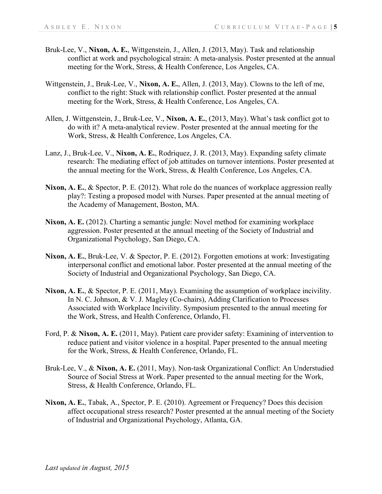- Bruk-Lee, V., **Nixon, A. E.**, Wittgenstein, J., Allen, J. (2013, May). Task and relationship conflict at work and psychological strain: A meta-analysis. Poster presented at the annual meeting for the Work, Stress, & Health Conference, Los Angeles, CA.
- Wittgenstein, J., Bruk-Lee, V., **Nixon, A. E.**, Allen, J. (2013, May). Clowns to the left of me, conflict to the right: Stuck with relationship conflict. Poster presented at the annual meeting for the Work, Stress, & Health Conference, Los Angeles, CA.
- Allen, J. Wittgenstein, J., Bruk-Lee, V., **Nixon, A. E.**, (2013, May). What's task conflict got to do with it? A meta-analytical review. Poster presented at the annual meeting for the Work, Stress, & Health Conference, Los Angeles, CA.
- Lanz, J., Bruk-Lee, V., **Nixon, A. E.**, Rodriquez, J. R. (2013, May). Expanding safety climate research: The mediating effect of job attitudes on turnover intentions. Poster presented at the annual meeting for the Work, Stress, & Health Conference, Los Angeles, CA.
- **Nixon, A. E.**, & Spector, P. E. (2012). What role do the nuances of workplace aggression really play?: Testing a proposed model with Nurses. Paper presented at the annual meeting of the Academy of Management, Boston, MA.
- **Nixon, A. E.** (2012). Charting a semantic jungle: Novel method for examining workplace aggression. Poster presented at the annual meeting of the Society of Industrial and Organizational Psychology, San Diego, CA.
- **Nixon, A. E.**, Bruk-Lee, V. & Spector, P. E. (2012). Forgotten emotions at work: Investigating interpersonal conflict and emotional labor. Poster presented at the annual meeting of the Society of Industrial and Organizational Psychology, San Diego, CA.
- **Nixon, A. E.**, & Spector, P. E. (2011, May). Examining the assumption of workplace incivility. In N. C. Johnson, & V. J. Magley (Co-chairs), Adding Clarification to Processes Associated with Workplace Incivility. Symposium presented to the annual meeting for the Work, Stress, and Health Conference, Orlando, Fl.
- Ford, P. & **Nixon, A. E.** (2011, May). Patient care provider safety: Examining of intervention to reduce patient and visitor violence in a hospital. Paper presented to the annual meeting for the Work, Stress, & Health Conference, Orlando, FL.
- Bruk-Lee, V., & **Nixon, A. E.** (2011, May). Non-task Organizational Conflict: An Understudied Source of Social Stress at Work. Paper presented to the annual meeting for the Work, Stress, & Health Conference, Orlando, FL.
- **Nixon, A. E.**, Tabak, A., Spector, P. E. (2010). Agreement or Frequency? Does this decision affect occupational stress research? Poster presented at the annual meeting of the Society of Industrial and Organizational Psychology, Atlanta, GA.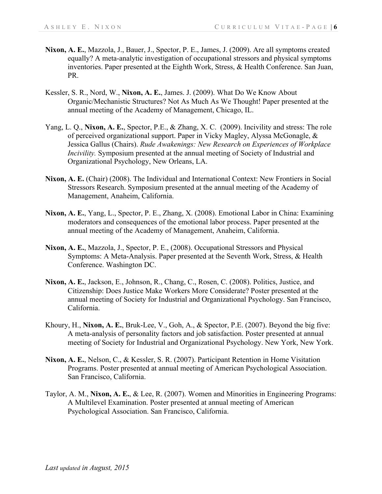- **Nixon, A. E.**, Mazzola, J., Bauer, J., Spector, P. E., James, J. (2009). Are all symptoms created equally? A meta-analytic investigation of occupational stressors and physical symptoms inventories. Paper presented at the Eighth Work, Stress, & Health Conference. San Juan, PR.
- Kessler, S. R., Nord, W., **Nixon, A. E.**, James. J. (2009). What Do We Know About Organic/Mechanistic Structures? Not As Much As We Thought! Paper presented at the annual meeting of the Academy of Management, Chicago, IL.
- Yang, L. Q., **Nixon, A. E.**, Spector, P.E., & Zhang, X. C. (2009). Incivility and stress: The role of perceived organizational support. Paper in Vicky Magley, Alyssa McGonagle, & Jessica Gallus (Chairs). *Rude Awakenings: New Research on Experiences of Workplace Incivility.* Symposium presented at the annual meeting of Society of Industrial and Organizational Psychology, New Orleans, LA.
- **Nixon, A. E.** (Chair) (2008). The Individual and International Context: New Frontiers in Social Stressors Research. Symposium presented at the annual meeting of the Academy of Management, Anaheim, California.
- **Nixon, A. E.**, Yang, L., Spector, P. E., Zhang, X. (2008). Emotional Labor in China: Examining moderators and consequences of the emotional labor process. Paper presented at the annual meeting of the Academy of Management, Anaheim, California.
- **Nixon, A. E.**, Mazzola, J., Spector, P. E., (2008). Occupational Stressors and Physical Symptoms: A Meta-Analysis. Paper presented at the Seventh Work, Stress, & Health Conference. Washington DC.
- **Nixon, A. E.**, Jackson, E., Johnson, R., Chang, C., Rosen, C. (2008). Politics, Justice, and Citizenship: Does Justice Make Workers More Considerate? Poster presented at the annual meeting of Society for Industrial and Organizational Psychology. San Francisco, California.
- Khoury, H., **Nixon, A. E.**, Bruk-Lee, V., Goh, A., & Spector, P.E. (2007). Beyond the big five: A meta-analysis of personality factors and job satisfaction. Poster presented at annual meeting of Society for Industrial and Organizational Psychology. New York, New York.
- **Nixon, A. E.**, Nelson, C., & Kessler, S. R. (2007). Participant Retention in Home Visitation Programs. Poster presented at annual meeting of American Psychological Association. San Francisco, California.
- Taylor, A. M., **Nixon, A. E.**, & Lee, R. (2007). Women and Minorities in Engineering Programs: A Multilevel Examination. Poster presented at annual meeting of American Psychological Association. San Francisco, California.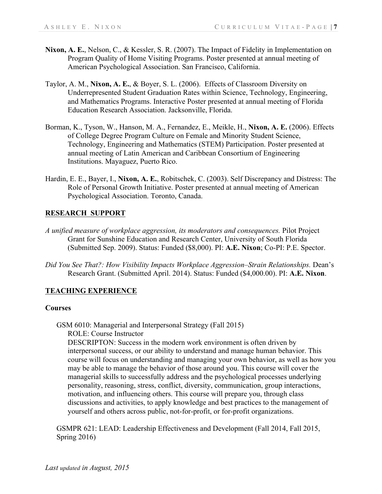- **Nixon, A. E.**, Nelson, C., & Kessler, S. R. (2007). The Impact of Fidelity in Implementation on Program Quality of Home Visiting Programs. Poster presented at annual meeting of American Psychological Association. San Francisco, California.
- Taylor, A. M., **Nixon, A. E.**, & Boyer, S. L. (2006). Effects of Classroom Diversity on Underrepresented Student Graduation Rates within Science, Technology, Engineering, and Mathematics Programs. Interactive Poster presented at annual meeting of Florida Education Research Association. Jacksonville, Florida.
- Borman, K., Tyson, W., Hanson, M. A., Fernandez, E., Meikle, H., **Nixon, A. E.** (2006). Effects of College Degree Program Culture on Female and Minority Student Science, Technology, Engineering and Mathematics (STEM) Participation. Poster presented at annual meeting of Latin American and Caribbean Consortium of Engineering Institutions. Mayaguez, Puerto Rico.
- Hardin, E. E., Bayer, I., **Nixon, A. E.**, Robitschek, C. (2003). Self Discrepancy and Distress: The Role of Personal Growth Initiative. Poster presented at annual meeting of American Psychological Association. Toronto, Canada.

## **RESEARCH SUPPORT**

- *A unified measure of workplace aggression, its moderators and consequences.* Pilot Project Grant for Sunshine Education and Research Center, University of South Florida (Submitted Sep. 2009). Status: Funded (\$8,000). PI: **A.E. Nixon**; Co-PI: P.E. Spector.
- *Did You See That?: How Visibility Impacts Workplace Aggression–Strain Relationships. Dean's* Research Grant. (Submitted April. 2014). Status: Funded (\$4,000.00). PI: **A.E. Nixon**.

## **TEACHING EXPERIENCE**

#### **Courses**

GSM 6010: Managerial and Interpersonal Strategy (Fall 2015) ROLE: Course Instructor

DESCRIPTON: Success in the modern work environment is often driven by interpersonal success, or our ability to understand and manage human behavior. This course will focus on understanding and managing your own behavior, as well as how you may be able to manage the behavior of those around you. This course will cover the managerial skills to successfully address and the psychological processes underlying personality, reasoning, stress, conflict, diversity, communication, group interactions, motivation, and influencing others. This course will prepare you, through class discussions and activities, to apply knowledge and best practices to the management of yourself and others across public, not-for-profit, or for-profit organizations.

GSMPR 621: LEAD: Leadership Effectiveness and Development (Fall 2014, Fall 2015, Spring 2016)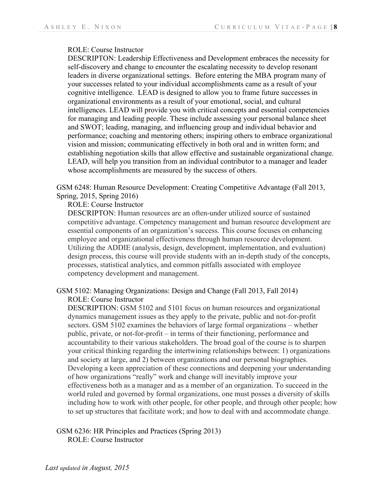### ROLE: Course Instructor

DESCRIPTON: Leadership Effectiveness and Development embraces the necessity for self-discovery and change to encounter the escalating necessity to develop resonant leaders in diverse organizational settings. Before entering the MBA program many of your successes related to your individual accomplishments came as a result of your cognitive intelligence. LEAD is designed to allow you to frame future successes in organizational environments as a result of your emotional, social, and cultural intelligences. LEAD will provide you with critical concepts and essential competencies for managing and leading people. These include assessing your personal balance sheet and SWOT; leading, managing, and influencing group and individual behavior and performance; coaching and mentoring others; inspiring others to embrace organizational vision and mission; communicating effectively in both oral and in written form; and establishing negotiation skills that allow effective and sustainable organizational change. LEAD, will help you transition from an individual contributor to a manager and leader whose accomplishments are measured by the success of others.

GSM 6248: Human Resource Development: Creating Competitive Advantage (Fall 2013, Spring, 2015, Spring 2016)

ROLE: Course Instructor

DESCRIPTON: Human resources are an often-under utilized source of sustained competitive advantage. Competency management and human resource development are essential components of an organization's success. This course focuses on enhancing employee and organizational effectiveness through human resource development. Utilizing the ADDIE (analysis, design, development, implementation, and evaluation) design process, this course will provide students with an in-depth study of the concepts, processes, statistical analytics, and common pitfalls associated with employee competency development and management.

GSM 5102: Managing Organizations: Design and Change (Fall 2013, Fall 2014) ROLE: Course Instructor

DESCRIPTION: GSM 5102 and 5101 focus on human resources and organizational dynamics management issues as they apply to the private, public and not-for-profit sectors. GSM 5102 examines the behaviors of large formal organizations – whether public, private, or not-for-profit – in terms of their functioning, performance and accountability to their various stakeholders. The broad goal of the course is to sharpen your critical thinking regarding the intertwining relationships between: 1) organizations and society at large, and 2) between organizations and our personal biographies. Developing a keen appreciation of these connections and deepening your understanding of how organizations "really" work and change will inevitably improve your effectiveness both as a manager and as a member of an organization. To succeed in the world ruled and governed by formal organizations, one must posses a diversity of skills including how to work with other people, for other people, and through other people; how to set up structures that facilitate work; and how to deal with and accommodate change.

GSM 6236: HR Principles and Practices (Spring 2013) ROLE: Course Instructor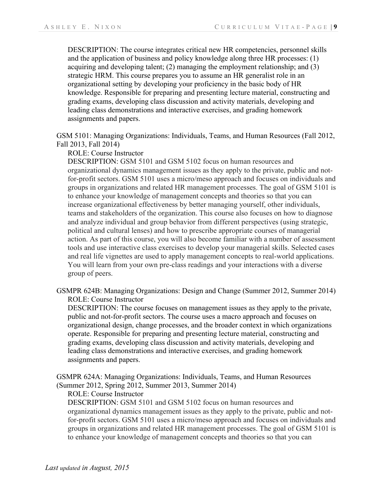DESCRIPTION: The course integrates critical new HR competencies, personnel skills and the application of business and policy knowledge along three HR processes: (1) acquiring and developing talent; (2) managing the employment relationship; and (3) strategic HRM. This course prepares you to assume an HR generalist role in an organizational setting by developing your proficiency in the basic body of HR knowledge. Responsible for preparing and presenting lecture material, constructing and grading exams, developing class discussion and activity materials, developing and leading class demonstrations and interactive exercises, and grading homework assignments and papers.

GSM 5101: Managing Organizations: Individuals, Teams, and Human Resources (Fall 2012, Fall 2013, Fall 2014)

ROLE: Course Instructor

DESCRIPTION: GSM 5101 and GSM 5102 focus on human resources and organizational dynamics management issues as they apply to the private, public and notfor-profit sectors. GSM 5101 uses a micro/meso approach and focuses on individuals and groups in organizations and related HR management processes. The goal of GSM 5101 is to enhance your knowledge of management concepts and theories so that you can increase organizational effectiveness by better managing yourself, other individuals, teams and stakeholders of the organization. This course also focuses on how to diagnose and analyze individual and group behavior from different perspectives (using strategic, political and cultural lenses) and how to prescribe appropriate courses of managerial action. As part of this course, you will also become familiar with a number of assessment tools and use interactive class exercises to develop your managerial skills. Selected cases and real life vignettes are used to apply management concepts to real-world applications. You will learn from your own pre-class readings and your interactions with a diverse group of peers.

GSMPR 624B: Managing Organizations: Design and Change (Summer 2012, Summer 2014) ROLE: Course Instructor

DESCRIPTION: The course focuses on management issues as they apply to the private, public and not-for-profit sectors. The course uses a macro approach and focuses on organizational design, change processes, and the broader context in which organizations operate. Responsible for preparing and presenting lecture material, constructing and grading exams, developing class discussion and activity materials, developing and leading class demonstrations and interactive exercises, and grading homework assignments and papers.

GSMPR 624A: Managing Organizations: Individuals, Teams, and Human Resources (Summer 2012, Spring 2012, Summer 2013, Summer 2014)

ROLE: Course Instructor

DESCRIPTION: GSM 5101 and GSM 5102 focus on human resources and organizational dynamics management issues as they apply to the private, public and notfor-profit sectors. GSM 5101 uses a micro/meso approach and focuses on individuals and groups in organizations and related HR management processes. The goal of GSM 5101 is to enhance your knowledge of management concepts and theories so that you can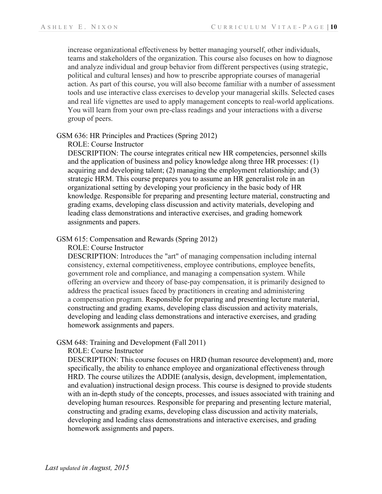increase organizational effectiveness by better managing yourself, other individuals, teams and stakeholders of the organization. This course also focuses on how to diagnose and analyze individual and group behavior from different perspectives (using strategic, political and cultural lenses) and how to prescribe appropriate courses of managerial action. As part of this course, you will also become familiar with a number of assessment tools and use interactive class exercises to develop your managerial skills. Selected cases and real life vignettes are used to apply management concepts to real-world applications. You will learn from your own pre-class readings and your interactions with a diverse group of peers.

#### GSM 636: HR Principles and Practices (Spring 2012)

ROLE: Course Instructor

DESCRIPTION: The course integrates critical new HR competencies, personnel skills and the application of business and policy knowledge along three HR processes: (1) acquiring and developing talent; (2) managing the employment relationship; and  $(3)$ strategic HRM. This course prepares you to assume an HR generalist role in an organizational setting by developing your proficiency in the basic body of HR knowledge. Responsible for preparing and presenting lecture material, constructing and grading exams, developing class discussion and activity materials, developing and leading class demonstrations and interactive exercises, and grading homework assignments and papers.

### GSM 615: Compensation and Rewards (Spring 2012)

ROLE: Course Instructor

DESCRIPTION: Introduces the "art" of managing compensation including internal consistency, external competitiveness, employee contributions, employee benefits, government role and compliance, and managing a compensation system. While offering an overview and theory of base-pay compensation, it is primarily designed to address the practical issues faced by practitioners in creating and administering a compensation program. Responsible for preparing and presenting lecture material, constructing and grading exams, developing class discussion and activity materials, developing and leading class demonstrations and interactive exercises, and grading homework assignments and papers.

### GSM 648: Training and Development (Fall 2011)

ROLE: Course Instructor

DESCRIPTION: This course focuses on HRD (human resource development) and, more specifically, the ability to enhance employee and organizational effectiveness through HRD. The course utilizes the ADDIE (analysis, design, development, implementation, and evaluation) instructional design process. This course is designed to provide students with an in-depth study of the concepts, processes, and issues associated with training and developing human resources. Responsible for preparing and presenting lecture material, constructing and grading exams, developing class discussion and activity materials, developing and leading class demonstrations and interactive exercises, and grading homework assignments and papers.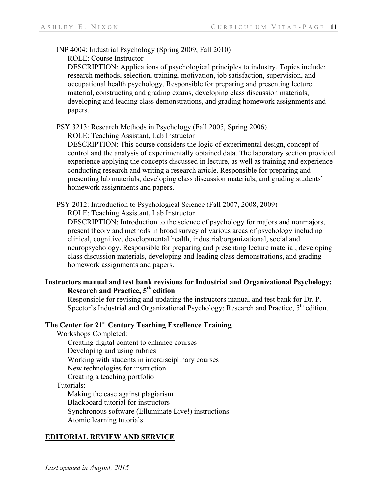INP 4004: Industrial Psychology (Spring 2009, Fall 2010)

ROLE: Course Instructor

DESCRIPTION: Applications of psychological principles to industry. Topics include: research methods, selection, training, motivation, job satisfaction, supervision, and occupational health psychology. Responsible for preparing and presenting lecture material, constructing and grading exams, developing class discussion materials, developing and leading class demonstrations, and grading homework assignments and papers.

PSY 3213: Research Methods in Psychology (Fall 2005, Spring 2006)

ROLE: Teaching Assistant, Lab Instructor

DESCRIPTION: This course considers the logic of experimental design, concept of control and the analysis of experimentally obtained data. The laboratory section provided experience applying the concepts discussed in lecture, as well as training and experience conducting research and writing a research article. Responsible for preparing and presenting lab materials, developing class discussion materials, and grading students' homework assignments and papers.

PSY 2012: Introduction to Psychological Science (Fall 2007, 2008, 2009)

ROLE: Teaching Assistant, Lab Instructor

DESCRIPTION: Introduction to the science of psychology for majors and nonmajors, present theory and methods in broad survey of various areas of psychology including clinical, cognitive, developmental health, industrial/organizational, social and neuropsychology. Responsible for preparing and presenting lecture material, developing class discussion materials, developing and leading class demonstrations, and grading homework assignments and papers.

## **Instructors manual and test bank revisions for Industrial and Organizational Psychology: Research and Practice, 5th edition**

Responsible for revising and updating the instructors manual and test bank for Dr. P. Spector's Industrial and Organizational Psychology: Research and Practice,  $5<sup>th</sup>$  edition.

# **The Center for 21st Century Teaching Excellence Training**

Workshops Completed:

Creating digital content to enhance courses

- Developing and using rubrics
- Working with students in interdisciplinary courses
- New technologies for instruction

Creating a teaching portfolio

Tutorials:

Making the case against plagiarism Blackboard tutorial for instructors Synchronous software (Elluminate Live!) instructions Atomic learning tutorials

### **EDITORIAL REVIEW AND SERVICE**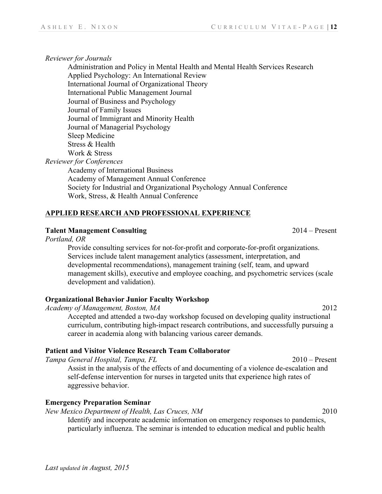### *Reviewer for Journals*

Administration and Policy in Mental Health and Mental Health Services Research Applied Psychology: An International Review International Journal of Organizational Theory International Public Management Journal Journal of Business and Psychology Journal of Family Issues Journal of Immigrant and Minority Health Journal of Managerial Psychology Sleep Medicine Stress & Health Work & Stress *Reviewer for Conferences*

Academy of International Business Academy of Management Annual Conference Society for Industrial and Organizational Psychology Annual Conference Work, Stress, & Health Annual Conference

## **APPLIED RESEARCH AND PROFESSIONAL EXPERIENCE**

## **Talent Management Consulting** 2014 – Present

*Portland, OR*

Provide consulting services for not-for-profit and corporate-for-profit organizations. Services include talent management analytics (assessment, interpretation, and developmental recommendations), management training (self, team, and upward management skills), executive and employee coaching, and psychometric services (scale development and validation).

## **Organizational Behavior Junior Faculty Workshop**

*Academy of Management, Boston, MA* 2012

Accepted and attended a two-day workshop focused on developing quality instructional curriculum, contributing high-impact research contributions, and successfully pursuing a career in academia along with balancing various career demands.

## **Patient and Visitor Violence Research Team Collaborator**

*Tampa General Hospital, Tampa, FL* 2010 – Present

Assist in the analysis of the effects of and documenting of a violence de-escalation and self-defense intervention for nurses in targeted units that experience high rates of aggressive behavior.

## **Emergency Preparation Seminar**

*New Mexico Department of Health, Las Cruces, NM* 2010

Identify and incorporate academic information on emergency responses to pandemics, particularly influenza. The seminar is intended to education medical and public health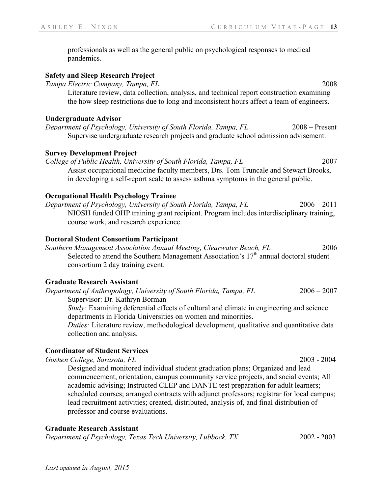professionals as well as the general public on psychological responses to medical pandemics.

### **Safety and Sleep Research Project**

*Tampa Electric Company, Tampa, FL* 2008 Literature review, data collection, analysis, and technical report construction examining the how sleep restrictions due to long and inconsistent hours affect a team of engineers.

#### **Undergraduate Advisor**

*Department of Psychology, University of South Florida, Tampa, FL* 2008 – Present Supervise undergraduate research projects and graduate school admission advisement.

## **Survey Development Project**

*College of Public Health, University of South Florida, Tampa, FL* 2007 Assist occupational medicine faculty members, Drs. Tom Truncale and Stewart Brooks, in developing a self-report scale to assess asthma symptoms in the general public.

### **Occupational Health Psychology Trainee**

*Department of Psychology, University of South Florida, Tampa, FL* 2006 – 2011 NIOSH funded OHP training grant recipient. Program includes interdisciplinary training, course work, and research experience.

#### **Doctoral Student Consortium Participant**

*Southern Management Association Annual Meeting, Clearwater Beach, FL* 2006 Selected to attend the Southern Management Association's  $17<sup>th</sup>$  annual doctoral student consortium 2 day training event.

### **Graduate Research Assistant**

*Department of Anthropology, University of South Florida, Tampa, FL* 2006 – 2007 Supervisor: Dr. Kathryn Borman

*Study:* Examining deferential effects of cultural and climate in engineering and science departments in Florida Universities on women and minorities.

*Duties:* Literature review, methodological development, qualitative and quantitative data collection and analysis.

### **Coordinator of Student Services**

*Goshen College, Sarasota, FL* 2003 - 2004

Designed and monitored individual student graduation plans; Organized and lead commencement, orientation, campus community service projects, and social events; All academic advising; Instructed CLEP and DANTE test preparation for adult learners; scheduled courses; arranged contracts with adjunct professors; registrar for local campus; lead recruitment activities; created, distributed, analysis of, and final distribution of professor and course evaluations.

#### **Graduate Research Assistant**

*Department of Psychology, Texas Tech University, Lubbock, TX* 2002 - 2003